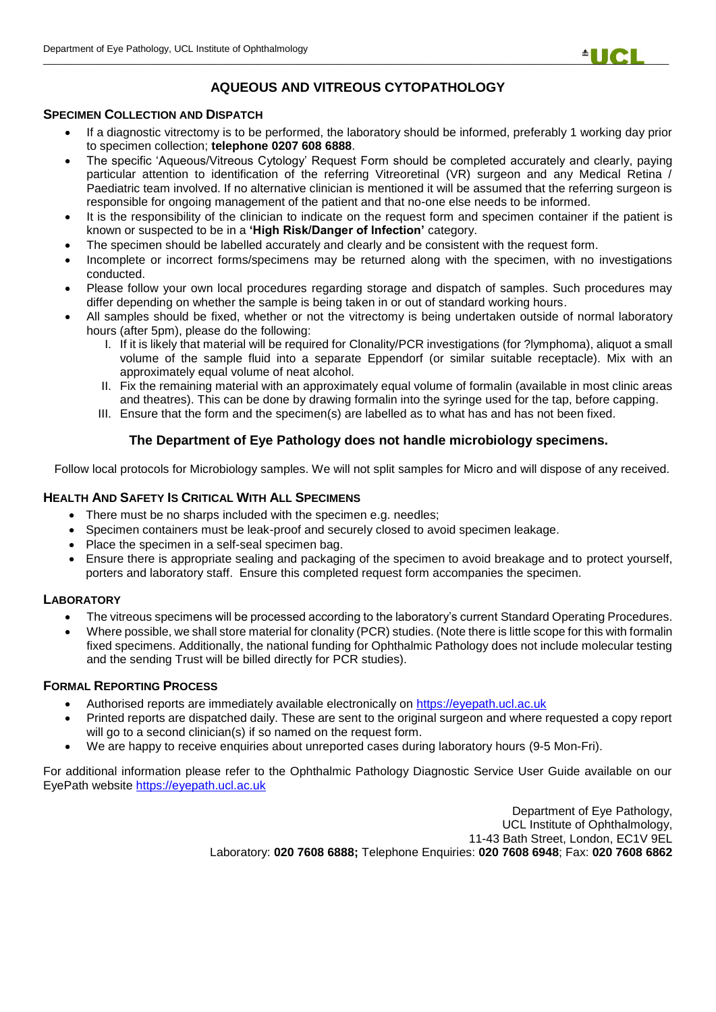

# **AQUEOUS AND VITREOUS CYTOPATHOLOGY**

### **SPECIMEN COLLECTION AND DISPATCH**

- If a diagnostic vitrectomy is to be performed, the laboratory should be informed, preferably 1 working day prior to specimen collection; **telephone 0207 608 6888**.
- The specific 'Aqueous/Vitreous Cytology' Request Form should be completed accurately and clearly, paying particular attention to identification of the referring Vitreoretinal (VR) surgeon and any Medical Retina / Paediatric team involved. If no alternative clinician is mentioned it will be assumed that the referring surgeon is responsible for ongoing management of the patient and that no-one else needs to be informed.
- It is the responsibility of the clinician to indicate on the request form and specimen container if the patient is known or suspected to be in a **'High Risk/Danger of Infection'** category.
- The specimen should be labelled accurately and clearly and be consistent with the request form.
- Incomplete or incorrect forms/specimens may be returned along with the specimen, with no investigations conducted.
- Please follow your own local procedures regarding storage and dispatch of samples. Such procedures may differ depending on whether the sample is being taken in or out of standard working hours.
- All samples should be fixed, whether or not the vitrectomy is being undertaken outside of normal laboratory hours (after 5pm), please do the following:
	- I. If it is likely that material will be required for Clonality/PCR investigations (for ?lymphoma), aliquot a small volume of the sample fluid into a separate Eppendorf (or similar suitable receptacle). Mix with an approximately equal volume of neat alcohol.
	- II. Fix the remaining material with an approximately equal volume of formalin (available in most clinic areas and theatres). This can be done by drawing formalin into the syringe used for the tap, before capping.
	- III. Ensure that the form and the specimen(s) are labelled as to what has and has not been fixed.

## **The Department of Eye Pathology does not handle microbiology specimens.**

Follow local protocols for Microbiology samples. We will not split samples for Micro and will dispose of any received.

### **HEALTH AND SAFETY IS CRITICAL WITH ALL SPECIMENS**

- There must be no sharps included with the specimen e.g. needles;
- Specimen containers must be leak-proof and securely closed to avoid specimen leakage.
- Place the specimen in a self-seal specimen bag.
- Ensure there is appropriate sealing and packaging of the specimen to avoid breakage and to protect yourself, porters and laboratory staff. Ensure this completed request form accompanies the specimen.

### **LABORATORY**

- The vitreous specimens will be processed according to the laboratory's current Standard Operating Procedures.
- Where possible, we shall store material for clonality (PCR) studies. (Note there is little scope for this with formalin fixed specimens. Additionally, the national funding for Ophthalmic Pathology does not include molecular testing and the sending Trust will be billed directly for PCR studies).

### **FORMAL REPORTING PROCESS**

- Authorised reports are immediately available electronically on [https://eyepath.ucl.ac.uk](https://eyepath.ucl.ac.uk/)
- Printed reports are dispatched daily. These are sent to the original surgeon and where requested a copy report will go to a second clinician(s) if so named on the request form.
- We are happy to receive enquiries about unreported cases during laboratory hours (9-5 Mon-Fri).

For additional information please refer to the Ophthalmic Pathology Diagnostic Service User Guide available on our EyePath website [https://eyepath.ucl.ac.uk](https://eyepath.ucl.ac.uk/)

> Department of Eye Pathology, UCL Institute of Ophthalmology, 11-43 Bath Street, London, EC1V 9EL Laboratory: **020 7608 6888;** Telephone Enquiries: **020 7608 6948**; Fax: **020 7608 6862**